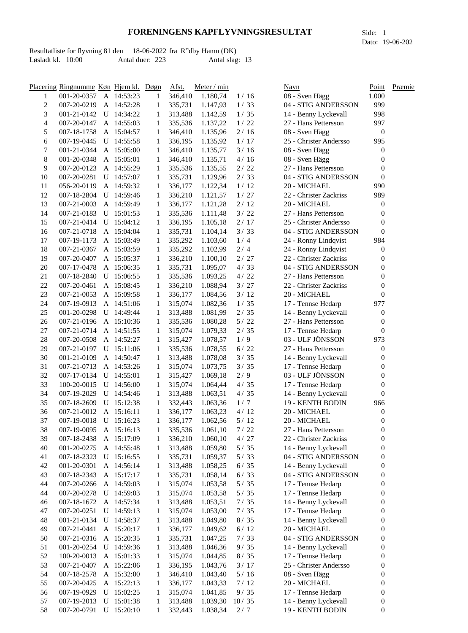Resultatliste for flyvning 81 den 18-06-2022 fra R"dby Hamn (DK) Løsladt kl. 10:00 Antal duer: 223 Antal slag: 13

|                          | Placering Ringnumme Køn Hjem kl. Døgn |   |              |              | Afst.   | Meter / min |        | Navn                   | Point            | Præmie |
|--------------------------|---------------------------------------|---|--------------|--------------|---------|-------------|--------|------------------------|------------------|--------|
| 1                        | 001-20-0357                           |   | A 14:53:23   | 1            | 346,410 | 1.180,74    | 1/16   | 08 - Sven Hägg         | 1.000            |        |
| 2                        | 007-20-0219                           |   | A 14:52:28   | 1            | 335,731 | 1.147,93    | 1/33   | 04 - STIG ANDERSSON    | 999              |        |
| 3                        | 001-21-0142                           |   | U 14:34:22   | 1            | 313,488 | 1.142,59    | 1/35   | 14 - Benny Lyckevall   | 998              |        |
| $\overline{\mathcal{L}}$ | 007-20-0147                           |   | A 14:55:03   | 1            | 335,536 | 1.137,22    | 1/22   | 27 - Hans Pettersson   | 997              |        |
| 5                        | 007-18-1758                           |   | A 15:04:57   | 1            | 346,410 | 1.135,96    | 2/16   | 08 - Sven Hägg         | $\boldsymbol{0}$ |        |
| 6                        | 007-19-0445                           | U | 14:55:58     | 1            | 336,195 | 1.135,92    | 1/17   | 25 - Christer Andersso | 995              |        |
| 7                        | 001-21-0344                           |   | A 15:05:00   | 1            | 346,410 | 1.135,77    | 3/16   | 08 - Sven Hägg         | 0                |        |
| $\,8$                    | 001-20-0348                           |   | A 15:05:01   | 1            | 346,410 | 1.135,71    | 4/16   | 08 - Sven Hägg         | 0                |        |
| 9                        | 007-20-0123                           |   | A 14:55:29   | 1            | 335,536 | 1.135,55    | 2/22   | 27 - Hans Pettersson   | 0                |        |
| 10                       | 007-20-0281                           |   | U 14:57:07   | 1            | 335,731 | 1.129,96    | 2/33   | 04 - STIG ANDERSSON    | $\boldsymbol{0}$ |        |
| 11                       | 056-20-0119                           |   | A 14:59:32   | 1            | 336,177 | 1.122,34    | 1/12   | 20 - MICHAEL           | 990              |        |
| 12                       | 007-18-2804                           |   | $U$ 14:59:46 | 1            | 336,210 | 1.121,57    | 1/27   | 22 - Christer Zackriss | 989              |        |
| 13                       | 007-21-0003                           |   | A 14:59:49   | 1            | 336,177 | 1.121,28    | 2/12   | 20 - MICHAEL           | 0                |        |
| 14                       | 007-21-0183                           |   | U 15:01:53   | 1            | 335,536 | 1.111,48    | 3/22   | 27 - Hans Pettersson   | 0                |        |
| 15                       | 007-21-0414                           |   | U 15:04:12   | 1            | 336,195 | 1.105,18    | 2/17   | 25 - Christer Andersso | 0                |        |
| 16                       | 007-21-0718                           |   | A 15:04:04   | 1            | 335,731 | 1.104,14    | 3/33   | 04 - STIG ANDERSSON    | $\theta$         |        |
| 17                       | 007-19-1173                           |   | A 15:03:49   | 1            | 335,292 | 1.103,60    | 1/4    | 24 - Ronny Lindqvist   | 984              |        |
| 18                       | 007-21-0367                           |   | A 15:03:59   | 1            | 335,292 | 1.102,99    | 2/4    | 24 - Ronny Lindqvist   | 0                |        |
| 19                       | 007-20-0407                           |   | A 15:05:37   | 1            | 336,210 | 1.100,10    | 2/27   | 22 - Christer Zackriss | 0                |        |
| 20                       | 007-17-0478                           |   | A 15:06:35   | 1            | 335,731 | 1.095,07    | 4/33   | 04 - STIG ANDERSSON    | 0                |        |
| 21                       | 007-18-2840                           |   | U 15:06:55   | 1            | 335,536 | 1.093,25    | 4/22   | 27 - Hans Pettersson   | 0                |        |
| $22\,$                   | 007-20-0461                           |   | A 15:08:45   | 1            | 336,210 | 1.088,94    | 3/27   | 22 - Christer Zackriss | 0                |        |
| 23                       | 007-21-0053                           |   | A 15:09:58   | 1            | 336,177 | 1.084,56    | 3/12   | 20 - MICHAEL           | 0                |        |
| 24                       | 007-19-0913                           |   | A 14:51:06   | 1            | 315,074 | 1.082,36    | 1/35   | 17 - Tennse Hedarp     | 977              |        |
| 25                       | 001-20-0298                           |   | U 14:49:44   | 1            | 313,488 | 1.081,99    | 2/35   | 14 - Benny Lyckevall   | 0                |        |
| 26                       | 007-21-0196                           |   | A 15:10:36   | 1            | 335,536 | 1.080,28    | 5/22   | 27 - Hans Pettersson   | 0                |        |
| 27                       | 007-21-0714                           |   | A 14:51:55   | 1            | 315,074 | 1.079,33    | 2/35   | 17 - Tennse Hedarp     | $\boldsymbol{0}$ |        |
| 28                       | 007-20-0508                           |   | A 14:52:27   | 1            | 315,427 | 1.078,57    | 1/9    | 03 - ULF JÖNSSON       | 973              |        |
| 29                       | 007-21-0197                           |   | $U$ 15:11:06 | 1            | 335,536 | 1.078,55    | $6/22$ | 27 - Hans Pettersson   | 0                |        |
| 30                       | 001-21-0109                           |   | A 14:50:47   | 1            | 313,488 | 1.078,08    | 3/35   | 14 - Benny Lyckevall   | 0                |        |
| 31                       | 007-21-0713                           |   | A 14:53:26   | 1            | 315,074 | 1.073,75    | 3/35   | 17 - Tennse Hedarp     | 0                |        |
| 32                       | 007-17-0134                           |   | $U$ 14:55:01 | 1            | 315,427 | 1.069,18    | 2/9    | 03 - ULF JÖNSSON       | 0                |        |
| 33                       | 100-20-0015                           |   | U 14:56:00   | 1            | 315,074 | 1.064,44    | 4/35   | 17 - Tennse Hedarp     | 0                |        |
| 34                       | 007-19-2029                           |   | $U$ 14:54:46 | 1            | 313,488 | 1.063,51    | 4/35   | 14 - Benny Lyckevall   | 0                |        |
| 35                       | 007-18-2609                           |   | U 15:12:38   | 1            | 332,443 | 1.063,36    | 1/7    | 19 - KENTH BODIN       | 966              |        |
| 36                       | 007-21-0012                           |   | A 15:16:11   | 1            | 336,177 | 1.063,23    | 4/12   | 20 - MICHAEL           | $\boldsymbol{0}$ |        |
| 37                       | 007-19-0018                           |   | U 15:16:23   | $\mathbf{1}$ | 336,177 | 1.062,56    | $5/12$ | 20 - MICHAEL           | $\boldsymbol{0}$ |        |
| 38                       | 007-19-0095                           |   | A 15:16:13   | 1            | 335,536 | 1.061,10    | 7/22   | 27 - Hans Pettersson   | 0                |        |
| 39                       | 007-18-2438                           |   | A 15:17:09   | 1            | 336,210 | 1.060,10    | 4/27   | 22 - Christer Zackriss | 0                |        |
| 40                       | 001-20-0275                           |   | A 14:55:48   | 1            | 313,488 | 1.059,80    | $5/35$ | 14 - Benny Lyckevall   | 0                |        |
| 41                       | 007-18-2323                           |   | U 15:16:55   | 1            | 335,731 | 1.059,37    | 5/33   | 04 - STIG ANDERSSON    | 0                |        |
| 42                       | 001-20-0301                           |   | A 14:56:14   | 1            | 313,488 | 1.058,25    | 6/35   | 14 - Benny Lyckevall   | 0                |        |
| 43                       | 007-18-2343                           |   | A 15:17:17   | 1            | 335,731 | 1.058,14    | 6/33   | 04 - STIG ANDERSSON    | 0                |        |
| 44                       | 007-20-0266                           |   | A 14:59:03   | 1            | 315,074 | 1.053,58    | $5/35$ | 17 - Tennse Hedarp     | 0                |        |
| 44                       | 007-20-0278                           |   | $U$ 14:59:03 | 1            | 315,074 | 1.053,58    | $5/35$ | 17 - Tennse Hedarp     | 0                |        |
| 46                       | 007-18-1672                           |   | A 14:57:34   | 1            | 313,488 | 1.053,51    | 7/35   | 14 - Benny Lyckevall   | 0                |        |
| 47                       | 007-20-0251                           |   | U 14:59:13   | 1            | 315,074 | 1.053,00    | 7/35   | 17 - Tennse Hedarp     | 0                |        |
| 48                       | 001-21-0134                           |   | $U$ 14:58:37 | 1            | 313,488 | 1.049,80    | 8/35   | 14 - Benny Lyckevall   | 0                |        |
| 49                       | 007-21-0441                           |   | A 15:20:17   | 1            | 336,177 | 1.049,62    | 6/12   | 20 - MICHAEL           | 0                |        |
| 50                       | 007-21-0316                           |   | A 15:20:35   | 1            | 335,731 | 1.047,25    | 7/33   | 04 - STIG ANDERSSON    | $\boldsymbol{0}$ |        |
| 51                       | 001-20-0254                           |   | $U$ 14:59:36 | 1            | 313,488 | 1.046,36    | 9/35   | 14 - Benny Lyckevall   | 0                |        |
| 52                       | 100-20-0013                           |   | A 15:01:33   | 1            | 315,074 | 1.044,85    | 8/35   | 17 - Tennse Hedarp     | 0                |        |
| 53                       | 007-21-0407                           |   | A 15:22:06   | 1            | 336,195 | 1.043,76    | 3/17   | 25 - Christer Andersso | 0                |        |
| 54                       | 007-18-2578                           |   | A 15:32:00   | 1            | 346,410 | 1.043,40    | 5/16   | 08 - Sven Hägg         | 0                |        |
| 55                       | 007-20-0425                           |   | A 15:22:13   | 1            | 336,177 | 1.043,33    | 7/12   | 20 - MICHAEL           | 0                |        |
| 56                       | 007-19-0929                           |   | $U$ 15:02:25 | 1            | 315,074 | 1.041,85    | 9/35   | 17 - Tennse Hedarp     | 0                |        |
| 57                       | 007-19-2013                           |   | U 15:01:38   | 1            | 313,488 | 1.039,30    | 10/35  | 14 - Benny Lyckevall   | 0                |        |
| 58                       | 007-20-0791                           |   | U 15:20:10   | 1            | 332,443 | 1.038,34    | 2/7    | 19 - KENTH BODIN       | $\boldsymbol{0}$ |        |

Dato: 19-06-202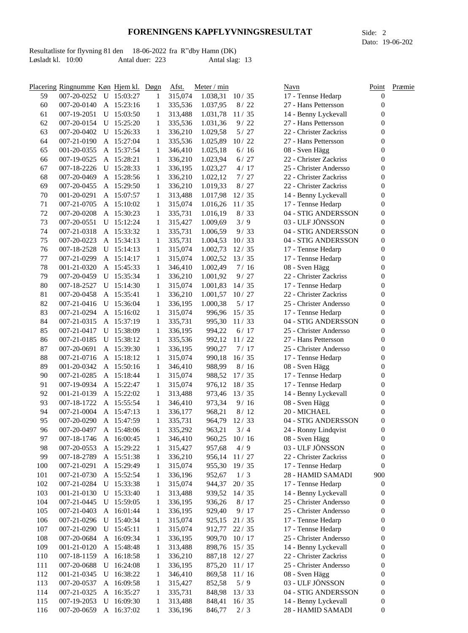Resultatliste for flyvning 81 den 18-06-2022 fra R"dby Hamn (DK) Løsladt kl. 10:00 Antal duer: 223 Antal slag: 13

|     | Placering Ringnumme Køn Hjem kl. Døgn |   |              |              | Afst.   | Meter / min |              | Navn                   | Point            | Præmie |
|-----|---------------------------------------|---|--------------|--------------|---------|-------------|--------------|------------------------|------------------|--------|
| 59  | 007-20-0252                           |   | U 15:03:27   | 1            | 315,074 | 1.038,31    | 10/35        | 17 - Tennse Hedarp     | 0                |        |
| 60  | 007-20-0140                           |   | A 15:23:16   | 1            | 335,536 | 1.037,95    | 8/22         | 27 - Hans Pettersson   | 0                |        |
| 61  | 007-19-2051                           |   | $U$ 15:03:50 | 1            | 313,488 | 1.031,78    | 11/35        | 14 - Benny Lyckevall   | 0                |        |
| 62  | 007-20-0154                           |   | U 15:25:20   | 1            | 335,536 | 1.031,36    | 9/22         | 27 - Hans Pettersson   | 0                |        |
| 63  | 007-20-0402                           |   | U 15:26:33   | 1            | 336,210 | 1.029,58    | $5/27$       | 22 - Christer Zackriss | 0                |        |
| 64  | 007-21-0190                           |   | A 15:27:04   | 1            | 335,536 | 1.025,89    | 10/22        | 27 - Hans Pettersson   | 0                |        |
| 65  | 001-20-0355                           |   | A 15:37:54   | 1            | 346,410 | 1.025,18    | 6/16         | 08 - Sven Hägg         | 0                |        |
| 66  | 007-19-0525                           |   | A 15:28:21   | 1            | 336,210 | 1.023,94    | 6/27         | 22 - Christer Zackriss | 0                |        |
| 67  | 007-18-2226                           |   | U 15:28:33   | 1            | 336,195 | 1.023,27    | 4/17         | 25 - Christer Andersso | 0                |        |
| 68  | 007-20-0469                           |   | A 15:28:56   | 1            | 336,210 | 1.022,12    | 7/27         | 22 - Christer Zackriss | 0                |        |
| 69  | 007-20-0455                           |   | A 15:29:50   | 1            | 336,210 | 1.019,33    | 8/27         | 22 - Christer Zackriss | 0                |        |
| 70  | 001-20-0291                           |   | A 15:07:57   | 1            | 313,488 | 1.017,98    | 12/35        | 14 - Benny Lyckevall   | 0                |        |
| 71  | 007-21-0705                           |   | A 15:10:02   | 1            | 315,074 | 1.016,26    | 11/35        | 17 - Tennse Hedarp     | $\boldsymbol{0}$ |        |
| 72  | 007-20-0208                           |   | A 15:30:23   | 1            | 335,731 | 1.016,19    | 8/33         | 04 - STIG ANDERSSON    | $\boldsymbol{0}$ |        |
| 73  | 007-20-0551                           |   | $U$ 15:12:24 | 1            | 315,427 | 1.009,69    | 3/9          | 03 - ULF JÖNSSON       | 0                |        |
| 74  | 007-21-0318                           |   | A 15:33:32   | 1            | 335,731 | 1.006,59    | 9/33         | 04 - STIG ANDERSSON    | $\boldsymbol{0}$ |        |
| 75  | 007-20-0223                           |   | A 15:34:13   | 1            | 335,731 | 1.004,53    | 10/33        | 04 - STIG ANDERSSON    | $\boldsymbol{0}$ |        |
| 76  | 007-18-2528                           |   | $U$ 15:14:13 | 1            | 315,074 | 1.002,73    | 12/35        | 17 - Tennse Hedarp     | $\boldsymbol{0}$ |        |
| 77  | 007-21-0299                           |   | A 15:14:17   | 1            | 315,074 | 1.002,52    | 13/35        | 17 - Tennse Hedarp     | 0                |        |
| 78  | 001-21-0320                           |   | A 15:45:33   | 1            | 346,410 | 1.002,49    | 7/16         | 08 - Sven Hägg         | 0                |        |
| 79  | 007-20-0459                           |   | U 15:35:34   | 1            | 336,210 | 1.001,92    | 9/27         | 22 - Christer Zackriss | 0                |        |
| 80  | 007-18-2527                           |   | $U$ 15:14:30 | 1            | 315,074 | 1.001,83    | 14/35        | 17 - Tennse Hedarp     | 0                |        |
| 81  | 007-20-0458                           |   | A 15:35:41   | 1            | 336,210 | 1.001,57    | 10/27        | 22 - Christer Zackriss | 0                |        |
| 82  | 007-21-0416                           |   | U 15:36:04   | 1            | 336,195 | 1.000,38    | 5/17         | 25 - Christer Andersso | 0                |        |
| 83  | 007-21-0294                           |   | A 15:16:02   | 1            | 315,074 | 996,96      | 15/35        | 17 - Tennse Hedarp     | 0                |        |
| 84  | 007-21-0315                           |   | A 15:37:19   | 1            | 335,731 | 995,30      | 11/33        | 04 - STIG ANDERSSON    | 0                |        |
| 85  | 007-21-0417                           |   | U 15:38:09   | 1            | 336,195 | 994,22      | $6/17$       | 25 - Christer Andersso | 0                |        |
| 86  | 007-21-0185                           |   | U 15:38:12   | 1            | 335,536 |             | 992,12 11/22 | 27 - Hans Pettersson   | 0                |        |
| 87  | 007-20-0691                           |   | A 15:39:30   | 1            | 336,195 | 990,27      | 7/17         | 25 - Christer Andersso | 0                |        |
| 88  | 007-21-0716                           |   | A 15:18:12   | 1            | 315,074 | 990,18      | 16/35        | 17 - Tennse Hedarp     | 0                |        |
| 89  | 001-20-0342                           |   | A 15:50:16   | 1            | 346,410 | 988,99      | 8/16         | 08 - Sven Hägg         | 0                |        |
| 90  | 007-21-0285                           |   | A 15:18:44   | 1            | 315,074 | 988,52      | 17/35        | 17 - Tennse Hedarp     | 0                |        |
| 91  | 007-19-0934                           |   | A 15:22:47   | 1            | 315,074 | 976,12      | 18/35        | 17 - Tennse Hedarp     | 0                |        |
| 92  | 001-21-0139                           |   | A 15:22:02   | 1            | 313,488 | 973,46      | 13/35        | 14 - Benny Lyckevall   | 0                |        |
| 93  | 007-18-1722                           |   | A 15:55:54   | 1            | 346,410 | 973,34      | 9/16         | 08 - Sven Hägg         | 0                |        |
| 94  | 007-21-0004                           |   | A 15:47:13   | 1            | 336,177 | 968,21      | 8/12         | 20 - MICHAEL           | 0                |        |
| 95  | 007-20-0290                           |   | A 15:47:59   | $\mathbf{1}$ | 335,731 | 964,79      | 12/33        | 04 - STIG ANDERSSON    | $\boldsymbol{0}$ |        |
| 96  | 007-20-0497                           |   | A 15:48:06   | 1            | 335,292 | 963,21      | 3/4          | 24 - Ronny Lindqvist   | 0                |        |
| 97  | 007-18-1746                           |   | A 16:00:45   | 1            | 346,410 | 960,25      | 10/16        | 08 - Sven Hägg         | 0                |        |
| 98  | 007-20-0553                           |   | A 15:29:22   | 1            | 315,427 | 957,68      | 4/9          | 03 - ULF JÖNSSON       | 0                |        |
| 99  | 007-18-2789                           |   | A 15:51:38   | 1            | 336,210 | 956,14      | 11/27        | 22 - Christer Zackriss | 0                |        |
| 100 | 007-21-0291                           |   | A 15:29:49   | 1            | 315,074 | 955,30      | 19/35        | 17 - Tennse Hedarp     | $\boldsymbol{0}$ |        |
| 101 | 007-21-0730                           |   | A 15:52:54   | 1            | 336,196 | 952,67      | 1/3          | 28 - HAMID SAMADI      | 900              |        |
| 102 | 007-21-0284                           |   | U 15:33:38   | 1            | 315,074 | 944,37      | 20/35        | 17 - Tennse Hedarp     | $\boldsymbol{0}$ |        |
| 103 | 001-21-0130                           |   | U 15:33:40   | 1            | 313,488 | 939,52      | 14/35        | 14 - Benny Lyckevall   | 0                |        |
| 104 | 007-21-0445                           |   | U 15:59:05   | 1            | 336,195 | 936,26      | 8/17         | 25 - Christer Andersso | 0                |        |
| 105 | 007-21-0403                           |   | A 16:01:44   | 1            | 336,195 | 929,40      | 9/17         | 25 - Christer Andersso | 0                |        |
| 106 | 007-21-0296                           |   | U 15:40:34   | 1            | 315,074 | 925,15      | 21/35        | 17 - Tennse Hedarp     | $\boldsymbol{0}$ |        |
| 107 | 007-21-0290                           | U | 15:45:11     | 1            | 315,074 | 912,77      | 22/35        | 17 - Tennse Hedarp     | $\boldsymbol{0}$ |        |
| 108 | 007-20-0684                           |   | A 16:09:34   | 1            | 336,195 | 909,70      | 10/17        | 25 - Christer Andersso | $\boldsymbol{0}$ |        |
| 109 | 001-21-0120                           |   | A 15:48:48   | 1            | 313,488 | 898,76      | 15/35        | 14 - Benny Lyckevall   | 0                |        |
| 110 | 007-18-1159                           |   | A 16:18:58   | 1            | 336,210 | 887,18      | 12/27        | 22 - Christer Zackriss | 0                |        |
| 111 | 007-20-0688                           | U | 16:24:08     | 1            | 336,195 | 875,20      | 11/17        | 25 - Christer Andersso | 0                |        |
| 112 | 001-21-0345                           | U | 16:38:22     | 1            | 346,410 | 869,58      | 11/16        | 08 - Sven Hägg         | 0                |        |
| 113 | 007-20-0537                           |   | A 16:09:58   | 1            | 315,427 | 852,58      | 5/9          | 03 - ULF JÖNSSON       | 0                |        |
| 114 | 007-21-0325                           |   | A 16:35:27   | 1            | 335,731 | 848,98      | 13/33        | 04 - STIG ANDERSSON    | 0                |        |
| 115 | 007-19-2053                           |   | U 16:09:30   | 1            | 313,488 | 848,41      | 16/35        | 14 - Benny Lyckevall   | 0                |        |
| 116 | 007-20-0659                           |   | A 16:37:02   | 1            | 336,196 | 846,77      | 2/3          | 28 - HAMID SAMADI      | $\boldsymbol{0}$ |        |

Dato: 19-06-202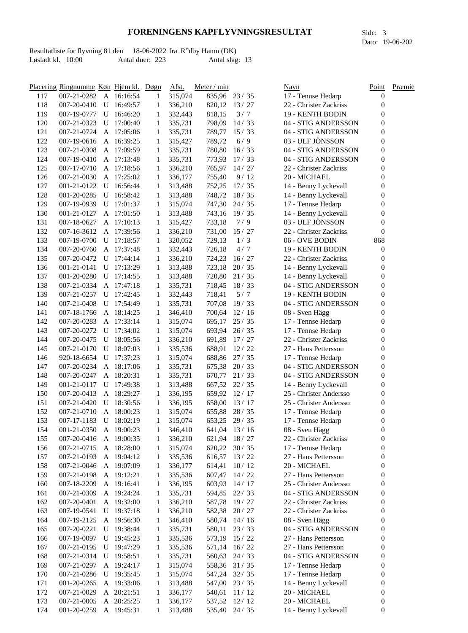Resultatliste for flyvning 81 den 18-06-2022 fra R"dby Hamn (DK) Løsladt kl. 10:00 Antal duer: 223 Antal slag: 13

| 117        | Placering Ringnumme Køn Hjem kl. Døgn<br>007-21-0282 |   | A 16:16:54                 | 1            | Afst.<br>315,074   | Meter / min<br>835,96 23/35 |                | Navn<br>17 - Tennse Hedarp                     | Point<br>$\boldsymbol{0}$ | Præmie |
|------------|------------------------------------------------------|---|----------------------------|--------------|--------------------|-----------------------------|----------------|------------------------------------------------|---------------------------|--------|
| 118        | 007-20-0410                                          | U | 16:49:57                   | 1            | 336,210            | 820,12                      | 13/27          | 22 - Christer Zackriss                         | 0                         |        |
| 119        | 007-19-0777                                          |   | U 16:46:20                 | 1            | 332,443            | 818,15                      | 3/7            | 19 - KENTH BODIN                               | 0                         |        |
| 120        | 007-21-0323                                          |   | U 17:00:40                 | 1            | 335,731            | 798,09                      | 14/33          | 04 - STIG ANDERSSON                            | 0                         |        |
| 121        | 007-21-0724                                          |   | A 17:05:06                 | 1            | 335,731            | 789,77                      | 15/33          | 04 - STIG ANDERSSON                            | $\boldsymbol{0}$          |        |
| 122        | 007-19-0616                                          |   | A 16:39:25                 | 1            | 315,427            | 789,72                      | 6/9            | 03 - ULF JÖNSSON                               | $\boldsymbol{0}$          |        |
| 123        | 007-21-0308                                          |   | A 17:09:59                 | 1            | 335,731            | 780,80                      | 16/33          | 04 - STIG ANDERSSON                            | $\boldsymbol{0}$          |        |
| 124        | 007-19-0410                                          |   | A 17:13:48                 | 1            | 335,731            | 773,93                      | 17/33          | 04 - STIG ANDERSSON                            | $\boldsymbol{0}$          |        |
| 125        | 007-17-0710                                          |   | A 17:18:56                 | 1            | 336,210            | 765,97                      | 14/27          | 22 - Christer Zackriss                         | 0                         |        |
| 126        | 007-21-0030                                          |   | A 17:25:02                 | 1            | 336,177            | 755,40                      | 9/12           | 20 - MICHAEL                                   | $\boldsymbol{0}$          |        |
| 127        | 001-21-0122                                          |   | U 16:56:44                 | 1            | 313,488            | 752,25                      | 17/35          | 14 - Benny Lyckevall                           | 0                         |        |
| 128        | 001-20-0285                                          |   | U 16:58:42                 | 1            | 313,488            | 748,72                      | 18/35          | 14 - Benny Lyckevall                           | 0                         |        |
| 129        | 007-19-0939                                          |   | U 17:01:37                 | 1            | 315,074            | 747,30                      | 24/35          | 17 - Tennse Hedarp                             | $\overline{0}$            |        |
| 130        | 001-21-0127                                          |   | A 17:01:50                 | 1            | 313,488            |                             | 743,16 19/35   | 14 - Benny Lyckevall                           | $\boldsymbol{0}$          |        |
| 131        | 007-18-0627                                          |   | A 17:10:13                 | 1            | 315,427            | 733,18                      | 7/9            | 03 - ULF JÖNSSON                               | $\boldsymbol{0}$          |        |
| 132        | 007-16-3612                                          |   | A 17:39:56                 | 1            | 336,210            | 731,00                      | 15/27          | 22 - Christer Zackriss                         | $\boldsymbol{0}$          |        |
| 133        | 007-19-0700                                          |   | U 17:18:57                 | 1            | 320,052            | 729,13                      | 1/3            | 06 - OVE BODIN                                 | 868                       |        |
| 134        |                                                      |   | A 17:37:48                 |              |                    |                             | 4/7            |                                                |                           |        |
|            | 007-20-0760                                          |   |                            | 1<br>1       | 332,443            | 726,18                      |                | 19 - KENTH BODIN                               | 0<br>$\boldsymbol{0}$     |        |
| 135        | 007-20-0472                                          | U | 17:44:14                   | 1            | 336,210            | 724,23<br>723,18            | 16/27          | 22 - Christer Zackriss<br>14 - Benny Lyckevall | 0                         |        |
| 136<br>137 | 001-21-0141<br>001-20-0280                           |   | U 17:13:29<br>$U$ 17:14:55 | 1            | 313,488            | 720,80                      | 20/35<br>21/35 | 14 - Benny Lyckevall                           | 0                         |        |
| 138        | 007-21-0334                                          |   | A 17:47:18                 | 1            | 313,488<br>335,731 | 718,45                      | 18/33          | 04 - STIG ANDERSSON                            | $\overline{0}$            |        |
| 139        | 007-21-0257                                          |   | U 17:42:45                 | 1            | 332,443            | 718,41                      | 5/7            | 19 - KENTH BODIN                               | $\boldsymbol{0}$          |        |
| 140        | 007-21-0408                                          |   | U 17:54:49                 | 1            | 335,731            | 707,08                      | 19/33          | 04 - STIG ANDERSSON                            | 0                         |        |
| 141        | 007-18-1766                                          |   | A 18:14:25                 | 1            | 346,410            | 700,64                      | 12/16          | 08 - Sven Hägg                                 | 0                         |        |
| 142        | 007-20-0283                                          |   | A 17:33:14                 | 1            | 315,074            | 695,17                      | 25/35          | 17 - Tennse Hedarp                             | 0                         |        |
| 143        | 007-20-0272                                          |   | U 17:34:02                 | 1            | 315,074            | 693,94                      | 26/35          | 17 - Tennse Hedarp                             | 0                         |        |
| 144        | 007-20-0475                                          |   | U 18:05:56                 | 1            | 336,210            | 691,89                      | 17/27          | 22 - Christer Zackriss                         | 0                         |        |
| 145        | 007-21-0170                                          | U | 18:07:03                   | 1            | 335,536            | 688,91                      | 12/22          | 27 - Hans Pettersson                           | $\overline{0}$            |        |
| 146        | 920-18-6654                                          | U | 17:37:23                   | 1            | 315,074            | 688,86                      | 27/35          | 17 - Tennse Hedarp                             | 0                         |        |
| 147        | 007-20-0234                                          |   | A 18:17:06                 | 1            | 335,731            | 675,38                      | 20/33          | 04 - STIG ANDERSSON                            | 0                         |        |
| 148        | 007-20-0247                                          | A | 18:20:31                   | 1            | 335,731            | 670,77                      | 21/33          | 04 - STIG ANDERSSON                            | 0                         |        |
| 149        | 001-21-0117                                          | U | 17:49:38                   | 1            | 313,488            | 667,52                      | 22/35          | 14 - Benny Lyckevall                           | $\boldsymbol{0}$          |        |
| 150        | 007-20-0413                                          |   | A 18:29:27                 | 1            | 336,195            | 659,92                      | 12/17          | 25 - Christer Andersso                         | $\boldsymbol{0}$          |        |
| 151        | 007-21-0420                                          | U | 18:30:56                   | 1            | 336,195            | 658,00                      | 13/17          | 25 - Christer Andersso                         | 0                         |        |
| 152        | 007-21-0710                                          |   | A 18:00:23                 | 1            | 315,074            | 655,88                      | 28/35          | 17 - Tennse Hedarp                             | 0                         |        |
| 153        | 007-17-1183                                          |   | U 18:02:19                 | $\mathbf{1}$ | 315,074            |                             | 653,25 29/35   | 17 - Tennse Hedarp                             | $\boldsymbol{0}$          |        |
| 154        | 001-21-0350                                          |   | A 19:00:23                 | 1            | 346,410            | 641,04                      | 13/16          | 08 - Sven Hägg                                 | 0                         |        |
| 155        | 007-20-0416                                          |   | A 19:00:35                 | 1            | 336,210            |                             | 621,94 18/27   | 22 - Christer Zackriss                         | 0                         |        |
| 156        | 007-21-0715                                          |   | A 18:28:00                 | 1            | 315,074            | 620,22                      | 30/35          | 17 - Tennse Hedarp                             | 0                         |        |
| 157        | 007-21-0193                                          |   | A 19:04:12                 | 1            | 335,536            | 616,57                      | 13/22          | 27 - Hans Pettersson                           | 0                         |        |
| 158        | 007-21-0046                                          |   | A 19:07:09                 | 1            | 336,177            | 614,41                      | 10/12          | 20 - MICHAEL                                   | $\boldsymbol{0}$          |        |
| 159        | 007-21-0198                                          |   | A 19:12:21                 | 1            | 335,536            | 607,47                      | 14/22          | 27 - Hans Pettersson                           | $\boldsymbol{0}$          |        |
| 160        | 007-18-2209                                          |   | A 19:16:41                 | 1            | 336,195            | 603,93                      | 14/17          | 25 - Christer Andersso                         | 0                         |        |
| 161        | 007-21-0309                                          |   | A 19:24:24                 | 1            | 335,731            | 594,85                      | 22/33          | 04 - STIG ANDERSSON                            | 0                         |        |
| 162        | 007-20-0401                                          |   | A 19:32:00                 | 1            | 336,210            | 587,78                      | 19/27          | 22 - Christer Zackriss                         | 0                         |        |
| 163        | 007-19-0541                                          |   | $U$ 19:37:18               | 1            | 336,210            | 582,38                      | 20/27          | 22 - Christer Zackriss                         | 0                         |        |
| 164        | 007-19-2125                                          |   | A 19:56:30                 | 1            | 346,410            | 580,74                      | 14/16          | 08 - Sven Hägg                                 | 0                         |        |
| 165        | 007-20-0221                                          |   | U 19:38:44                 | 1            | 335,731            | 580,11                      | 23/33          | 04 - STIG ANDERSSON                            | 0                         |        |
| 166        | 007-19-0097                                          | U | 19:45:23                   | 1            | 335,536            | 573,19                      | 15/22          | 27 - Hans Pettersson                           | 0                         |        |
| 167        | 007-21-0195                                          |   | U 19:47:29                 | 1            | 335,536            | 571,14                      | 16/22          | 27 - Hans Pettersson                           | 0                         |        |
| 168        | 007-21-0314                                          |   | U 19:58:51                 | 1            | 335,731            | 560,63                      | 24/33          | 04 - STIG ANDERSSON                            | 0                         |        |
| 169        | 007-21-0297                                          |   | A 19:24:17                 | 1            | 315,074            | 558,36                      | 31/35          | 17 - Tennse Hedarp                             | 0                         |        |
| 170        | 007-21-0286                                          |   | U 19:35:45                 | 1            | 315,074            | 547,24                      | 32/35          | 17 - Tennse Hedarp                             | 0                         |        |
| 171        | 001-20-0265                                          |   | A 19:33:06                 | 1            | 313,488            |                             | 547,00 23/35   | 14 - Benny Lyckevall                           | 0                         |        |
| 172        | 007-21-0029                                          |   | A 20:21:51                 | 1            | 336,177            | 540,61                      | 11/12          | 20 - MICHAEL                                   | 0                         |        |
| 173        | 007-21-0005                                          |   | A 20:25:25                 | 1            | 336,177            |                             | 537,52 12/12   | 20 - MICHAEL                                   | 0                         |        |
| 174        | 001-20-0259                                          |   | A 19:45:31                 | 1            | 313,488            |                             | 535,40 24/35   | 14 - Benny Lyckevall                           | 0                         |        |

Dato: 19-06-202